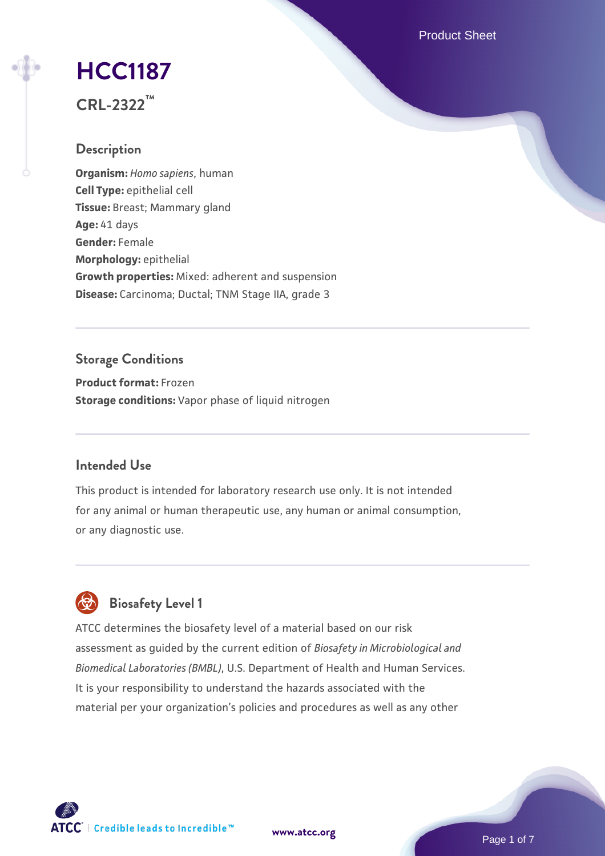Product Sheet

# **[HCC1187](https://www.atcc.org/products/crl-2322)**

**CRL-2322™**

## **Description**

**Organism:** *Homo sapiens*, human **Cell Type:** epithelial cell **Tissue:** Breast; Mammary gland **Age:** 41 days **Gender:** Female **Morphology:** epithelial **Growth properties:** Mixed: adherent and suspension **Disease:** Carcinoma; Ductal; TNM Stage IIA, grade 3

## **Storage Conditions**

**Product format:** Frozen **Storage conditions:** Vapor phase of liquid nitrogen

## **Intended Use**

This product is intended for laboratory research use only. It is not intended for any animal or human therapeutic use, any human or animal consumption, or any diagnostic use.



# **Biosafety Level 1**

ATCC determines the biosafety level of a material based on our risk assessment as guided by the current edition of *Biosafety in Microbiological and Biomedical Laboratories (BMBL)*, U.S. Department of Health and Human Services. It is your responsibility to understand the hazards associated with the material per your organization's policies and procedures as well as any other

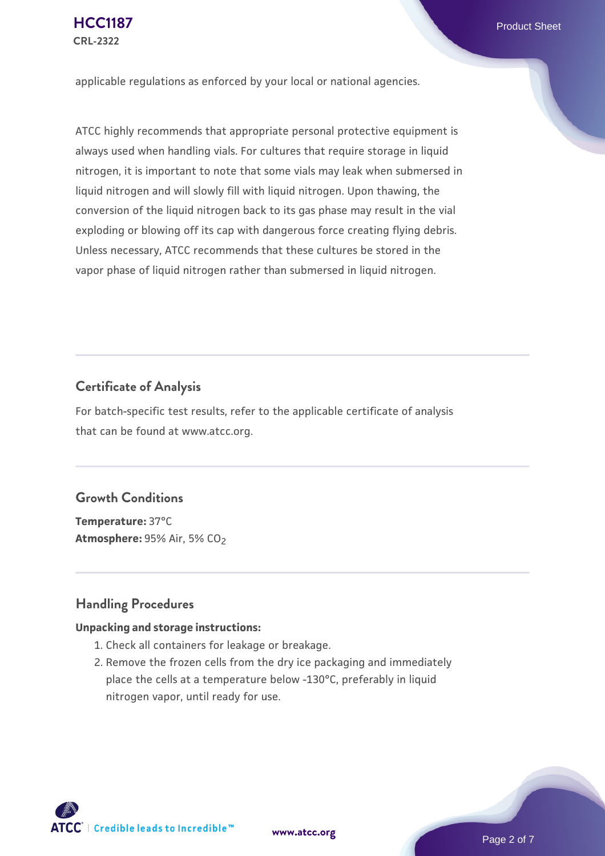applicable regulations as enforced by your local or national agencies.

ATCC highly recommends that appropriate personal protective equipment is always used when handling vials. For cultures that require storage in liquid nitrogen, it is important to note that some vials may leak when submersed in liquid nitrogen and will slowly fill with liquid nitrogen. Upon thawing, the conversion of the liquid nitrogen back to its gas phase may result in the vial exploding or blowing off its cap with dangerous force creating flying debris. Unless necessary, ATCC recommends that these cultures be stored in the vapor phase of liquid nitrogen rather than submersed in liquid nitrogen.

## **Certificate of Analysis**

For batch-specific test results, refer to the applicable certificate of analysis that can be found at www.atcc.org.

## **Growth Conditions**

**Temperature:** 37°C **Atmosphere: 95% Air, 5% CO<sub>2</sub>** 

## **Handling Procedures**

#### **Unpacking and storage instructions:**

- 1. Check all containers for leakage or breakage.
- 2. Remove the frozen cells from the dry ice packaging and immediately place the cells at a temperature below -130°C, preferably in liquid nitrogen vapor, until ready for use.

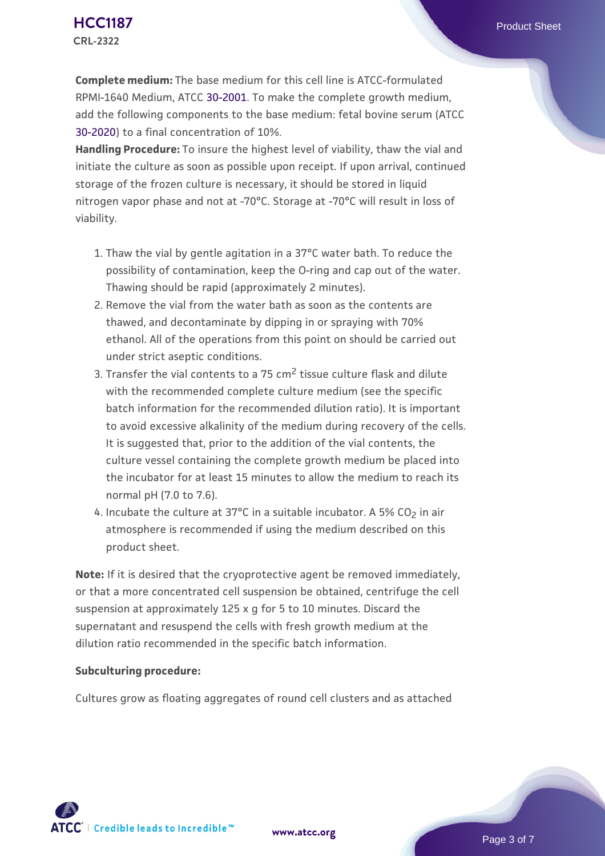**Complete medium:** The base medium for this cell line is ATCC-formulated RPMI-1640 Medium, ATCC [30-2001.](https://www.atcc.org/Products/All/30-2001.aspx) To make the complete growth medium, add the following components to the base medium: fetal bovine serum (ATCC [30-2020\)](https://www.atcc.org/Products/All/30-2020.aspx) to a final concentration of 10%.

**Handling Procedure:** To insure the highest level of viability, thaw the vial and initiate the culture as soon as possible upon receipt. If upon arrival, continued storage of the frozen culture is necessary, it should be stored in liquid nitrogen vapor phase and not at -70°C. Storage at -70°C will result in loss of viability.

- 1. Thaw the vial by gentle agitation in a 37°C water bath. To reduce the  $\,$ possibility of contamination, keep the O-ring and cap out of the water. Thawing should be rapid (approximately 2 minutes).
- 2. Remove the vial from the water bath as soon as the contents are thawed, and decontaminate by dipping in or spraying with 70% ethanol. All of the operations from this point on should be carried out under strict aseptic conditions.
- 3. Transfer the vial contents to a 75 cm<sup>2</sup> tissue culture flask and dilute with the recommended complete culture medium (see the specific batch information for the recommended dilution ratio). It is important to avoid excessive alkalinity of the medium during recovery of the cells. It is suggested that, prior to the addition of the vial contents, the culture vessel containing the complete growth medium be placed into the incubator for at least 15 minutes to allow the medium to reach its normal pH (7.0 to 7.6).
- 4. Incubate the culture at 37°C in a suitable incubator. A 5% CO<sub>2</sub> in air atmosphere is recommended if using the medium described on this product sheet.

**Note:** If it is desired that the cryoprotective agent be removed immediately, or that a more concentrated cell suspension be obtained, centrifuge the cell suspension at approximately 125 x g for 5 to 10 minutes. Discard the supernatant and resuspend the cells with fresh growth medium at the dilution ratio recommended in the specific batch information.

#### **Subculturing procedure:**

Cultures grow as floating aggregates of round cell clusters and as attached

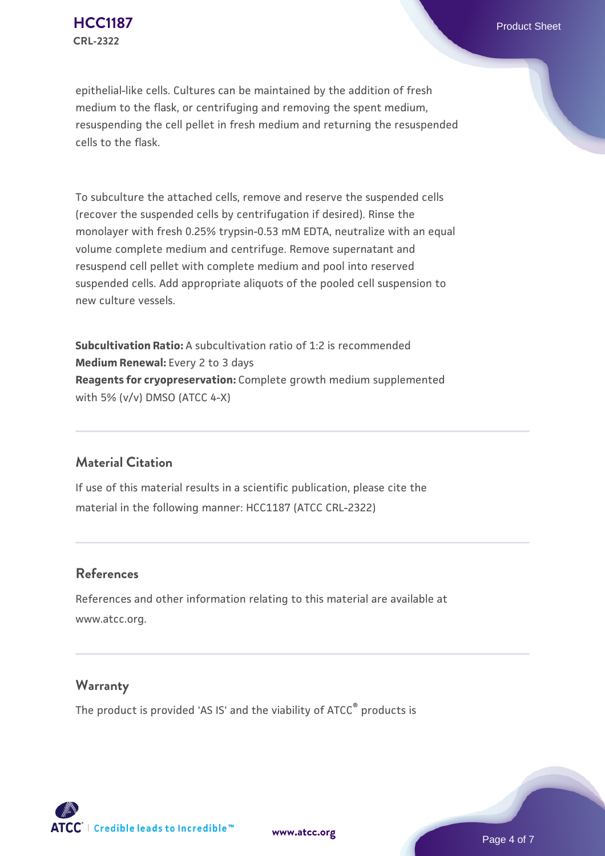epithelial-like cells. Cultures can be maintained by the addition of fresh medium to the flask, or centrifuging and removing the spent medium, resuspending the cell pellet in fresh medium and returning the resuspended cells to the flask.

To subculture the attached cells, remove and reserve the suspended cells (recover the suspended cells by centrifugation if desired). Rinse the monolayer with fresh 0.25% trypsin-0.53 mM EDTA, neutralize with an equal volume complete medium and centrifuge. Remove supernatant and resuspend cell pellet with complete medium and pool into reserved suspended cells. Add appropriate aliquots of the pooled cell suspension to new culture vessels.

**Subcultivation Ratio:** A subcultivation ratio of 1:2 is recommended **Medium Renewal:** Every 2 to 3 days **Reagents for cryopreservation:** Complete growth medium supplemented with 5% (v/v) DMSO (ATCC 4-X)

## **Material Citation**

If use of this material results in a scientific publication, please cite the material in the following manner: HCC1187 (ATCC CRL-2322)

## **References**

References and other information relating to this material are available at www.atcc.org.

#### **Warranty**

The product is provided 'AS IS' and the viability of ATCC® products is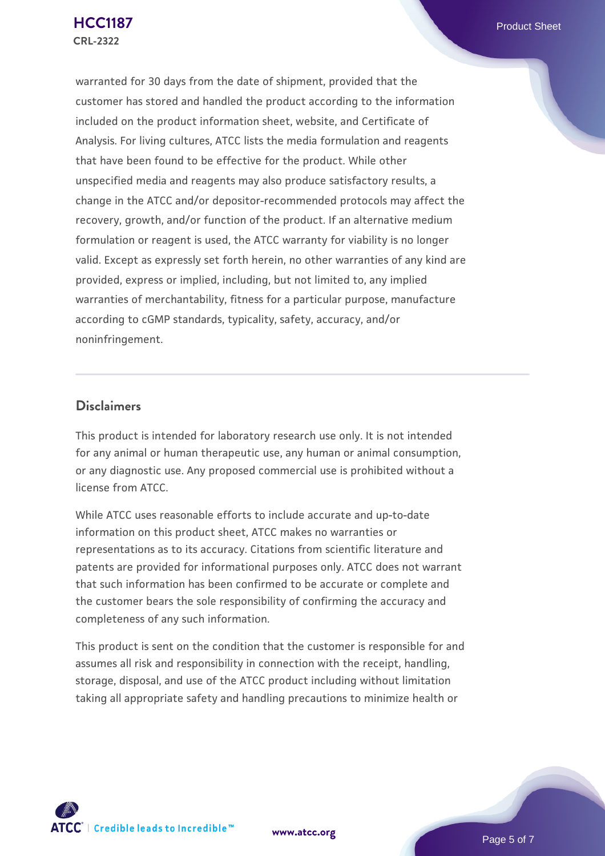warranted for 30 days from the date of shipment, provided that the customer has stored and handled the product according to the information included on the product information sheet, website, and Certificate of Analysis. For living cultures, ATCC lists the media formulation and reagents that have been found to be effective for the product. While other unspecified media and reagents may also produce satisfactory results, a change in the ATCC and/or depositor-recommended protocols may affect the recovery, growth, and/or function of the product. If an alternative medium formulation or reagent is used, the ATCC warranty for viability is no longer valid. Except as expressly set forth herein, no other warranties of any kind are provided, express or implied, including, but not limited to, any implied warranties of merchantability, fitness for a particular purpose, manufacture according to cGMP standards, typicality, safety, accuracy, and/or noninfringement.

### **Disclaimers**

This product is intended for laboratory research use only. It is not intended for any animal or human therapeutic use, any human or animal consumption, or any diagnostic use. Any proposed commercial use is prohibited without a license from ATCC.

While ATCC uses reasonable efforts to include accurate and up-to-date information on this product sheet, ATCC makes no warranties or representations as to its accuracy. Citations from scientific literature and patents are provided for informational purposes only. ATCC does not warrant that such information has been confirmed to be accurate or complete and the customer bears the sole responsibility of confirming the accuracy and completeness of any such information.

This product is sent on the condition that the customer is responsible for and assumes all risk and responsibility in connection with the receipt, handling, storage, disposal, and use of the ATCC product including without limitation taking all appropriate safety and handling precautions to minimize health or



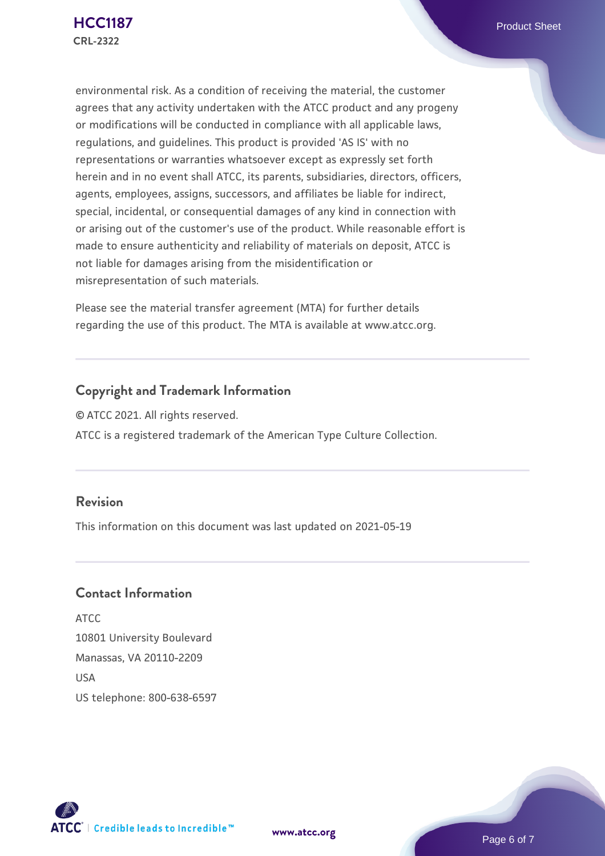environmental risk. As a condition of receiving the material, the customer agrees that any activity undertaken with the ATCC product and any progeny or modifications will be conducted in compliance with all applicable laws, regulations, and guidelines. This product is provided 'AS IS' with no representations or warranties whatsoever except as expressly set forth herein and in no event shall ATCC, its parents, subsidiaries, directors, officers, agents, employees, assigns, successors, and affiliates be liable for indirect, special, incidental, or consequential damages of any kind in connection with or arising out of the customer's use of the product. While reasonable effort is made to ensure authenticity and reliability of materials on deposit, ATCC is not liable for damages arising from the misidentification or misrepresentation of such materials.

Please see the material transfer agreement (MTA) for further details regarding the use of this product. The MTA is available at www.atcc.org.

# **Copyright and Trademark Information**

© ATCC 2021. All rights reserved. ATCC is a registered trademark of the American Type Culture Collection.

## **Revision**

This information on this document was last updated on 2021-05-19

## **Contact Information**

ATCC 10801 University Boulevard Manassas, VA 20110-2209 **IISA** US telephone: 800-638-6597